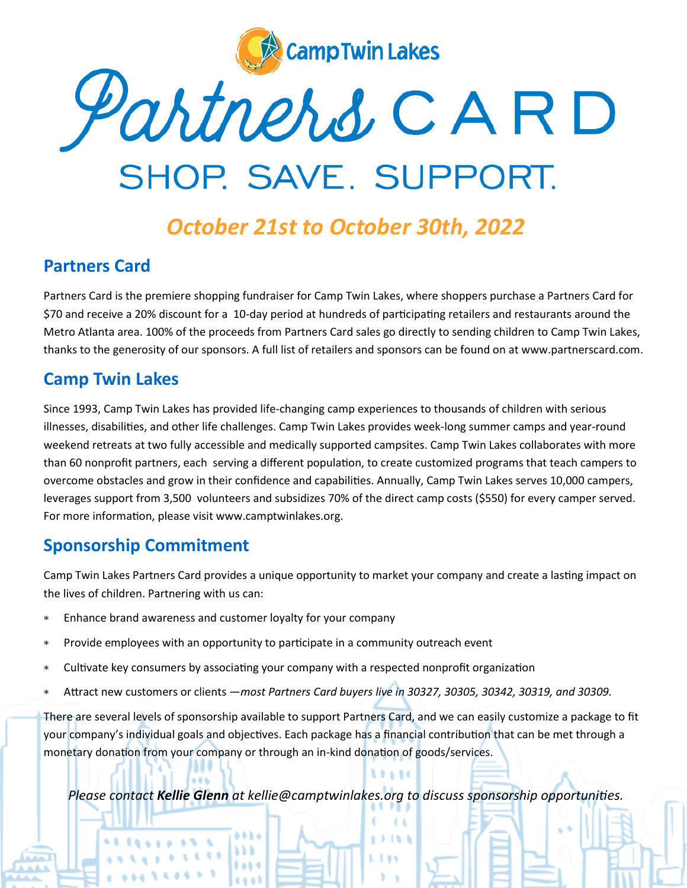

# Partners CARD SHOP. SAVE. SUPPORT.

# *October 21st to October 30th, 2022*

#### **Partners Card**

Partners Card is the premiere shopping fundraiser for Camp Twin Lakes, where shoppers purchase a Partners Card for \$70 and receive a 20% discount for a 10-day period at hundreds of participating retailers and restaurants around the Metro Atlanta area. 100% of the proceeds from Partners Card sales go directly to sending children to Camp Twin Lakes, thanks to the generosity of our sponsors. A full list of retailers and sponsors can be found on at www.partnerscard.com.

#### **Camp Twin Lakes**

Since 1993, Camp Twin Lakes has provided life-changing camp experiences to thousands of children with serious illnesses, disabilities, and other life challenges. Camp Twin Lakes provides week-long summer camps and year-round weekend retreats at two fully accessible and medically supported campsites. Camp Twin Lakes collaborates with more than 60 nonprofit partners, each serving a different population, to create customized programs that teach campers to overcome obstacles and grow in their confidence and capabilities. Annually, Camp Twin Lakes serves 10,000 campers, leverages support from 3,500 volunteers and subsidizes 70% of the direct camp costs (\$550) for every camper served. For more information, please visit www.camptwinlakes.org.

#### **Sponsorship Commitment**

Camp Twin Lakes Partners Card provides a unique opportunity to market your company and create a lasting impact on the lives of children. Partnering with us can:

- Enhance brand awareness and customer loyalty for your company
- Provide employees with an opportunity to participate in a community outreach event
- Cultivate key consumers by associating your company with a respected nonprofit organization
- Attract new customers or clients —*most Partners Card buyers live in 30327, 30305, 30342, 30319, and 30309.*

There are several levels of sponsorship available to support Partners Card, and we can easily customize a package to fit your company's individual goals and objectives. Each package has a financial contribution that can be met through a monetary donation from your company or through an in-kind donation of goods/services.

*Please contact Kellie Glenn at kellie@camptwinlakes.org to discuss sponsorship opportunities.*